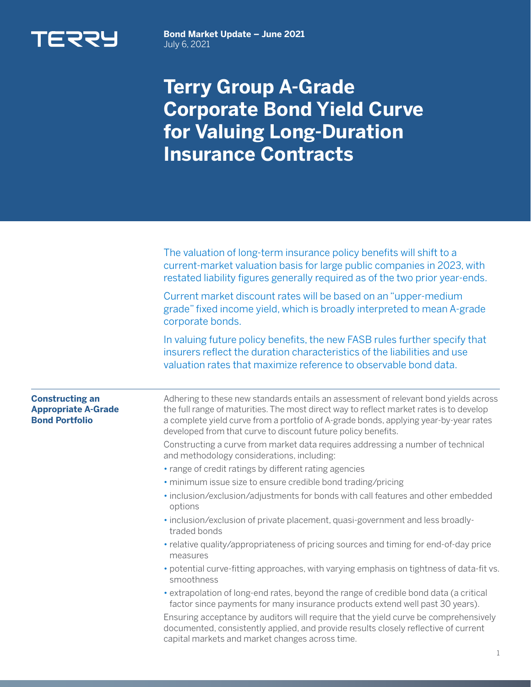

**Bond Market Update – June 2021**  July 6, 2021

## **Terry Group A-Grade Corporate Bond Yield Curve for Valuing Long-Duration Insurance Contracts**

|                                                                               | The valuation of long-term insurance policy benefits will shift to a<br>current-market valuation basis for large public companies in 2023, with<br>restated liability figures generally required as of the two prior year-ends.                                                                                                           |  |  |  |
|-------------------------------------------------------------------------------|-------------------------------------------------------------------------------------------------------------------------------------------------------------------------------------------------------------------------------------------------------------------------------------------------------------------------------------------|--|--|--|
|                                                                               | Current market discount rates will be based on an "upper-medium<br>grade" fixed income yield, which is broadly interpreted to mean A-grade<br>corporate bonds.                                                                                                                                                                            |  |  |  |
|                                                                               | In valuing future policy benefits, the new FASB rules further specify that<br>insurers reflect the duration characteristics of the liabilities and use<br>valuation rates that maximize reference to observable bond data.                                                                                                                |  |  |  |
| <b>Constructing an</b><br><b>Appropriate A-Grade</b><br><b>Bond Portfolio</b> | Adhering to these new standards entails an assessment of relevant bond yields across<br>the full range of maturities. The most direct way to reflect market rates is to develop<br>a complete yield curve from a portfolio of A-grade bonds, applying year-by-year rates<br>developed from that curve to discount future policy benefits. |  |  |  |
|                                                                               | Constructing a curve from market data requires addressing a number of technical<br>and methodology considerations, including:                                                                                                                                                                                                             |  |  |  |
|                                                                               | • range of credit ratings by different rating agencies                                                                                                                                                                                                                                                                                    |  |  |  |
|                                                                               | · minimum issue size to ensure credible bond trading/pricing                                                                                                                                                                                                                                                                              |  |  |  |
|                                                                               | · inclusion/exclusion/adjustments for bonds with call features and other embedded<br>options                                                                                                                                                                                                                                              |  |  |  |
|                                                                               | · inclusion/exclusion of private placement, quasi-government and less broadly-<br>traded bonds                                                                                                                                                                                                                                            |  |  |  |
|                                                                               | • relative quality/appropriateness of pricing sources and timing for end-of-day price<br>measures                                                                                                                                                                                                                                         |  |  |  |
|                                                                               | • potential curve-fitting approaches, with varying emphasis on tightness of data-fit vs.<br>smoothness                                                                                                                                                                                                                                    |  |  |  |
|                                                                               | · extrapolation of long-end rates, beyond the range of credible bond data (a critical<br>factor since payments for many insurance products extend well past 30 years).                                                                                                                                                                    |  |  |  |
|                                                                               | Ensuring acceptance by auditors will require that the yield curve be comprehensively<br>documented, consistently applied, and provide results closely reflective of current                                                                                                                                                               |  |  |  |

capital markets and market changes across time.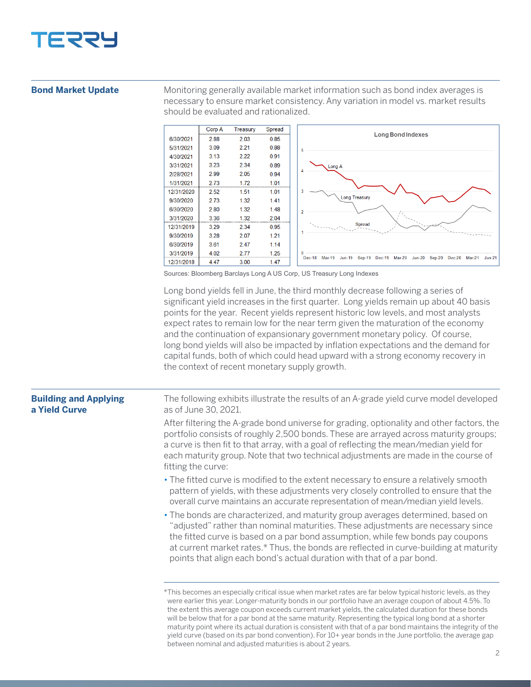

## **Bond Market Update**

Monitoring generally available market information such as bond index averages is necessary to ensure market consistency. Any variation in model vs. market results should be evaluated and rationalized.



Sources: Bloomberg Barclays Long A US Corp, US Treasury Long Indexes

Long bond yields fell in June, the third monthly decrease following a series of significant yield increases in the first quarter. Long yields remain up about 40 basis points for the year. Recent yields represent historic low levels, and most analysts expect rates to remain low for the near term given the maturation of the economy and the continuation of expansionary government monetary policy. Of course, long bond yields will also be impacted by inflation expectations and the demand for capital funds, both of which could head upward with a strong economy recovery in the context of recent monetary supply growth.

| <b>Building and Applying</b><br>a Yield Curve | The following exhibits illustrate the results of an A-grade yield curve model developed<br>as of June 30, 2021.                                                                                                                                                                                                                                                                                                           |
|-----------------------------------------------|---------------------------------------------------------------------------------------------------------------------------------------------------------------------------------------------------------------------------------------------------------------------------------------------------------------------------------------------------------------------------------------------------------------------------|
|                                               | After filtering the A-grade bond universe for grading, optionality and other factors, the<br>portfolio consists of roughly 2,500 bonds. These are arrayed across maturity groups;<br>a curve is then fit to that array, with a goal of reflecting the mean/median yield for<br>each maturity group. Note that two technical adjustments are made in the course of<br>fitting the curve:                                   |
|                                               | • The fitted curve is modified to the extent necessary to ensure a relatively smooth<br>pattern of yields, with these adjustments very closely controlled to ensure that the<br>overall curve maintains an accurate representation of mean/median yield levels.                                                                                                                                                           |
|                                               | • The bonds are characterized, and maturity group averages determined, based on<br>"adjusted" rather than nominal maturities. These adjustments are necessary since<br>the fitted curve is based on a par bond assumption, while few bonds pay coupons<br>at current market rates.* Thus, the bonds are reflected in curve-building at maturity<br>points that align each bond's actual duration with that of a par bond. |
|                                               | *This becomes an especially critical issue when market rates are far below typical historic levels, as they                                                                                                                                                                                                                                                                                                               |

were earlier this year. Longer-maturity bonds in our portfolio have an average coupon of about 4.5%. To the extent this average coupon exceeds current market yields, the calculated duration for these bonds will be below that for a par bond at the same maturity. Representing the typical long bond at a shorter maturity point where its actual duration is consistent with that of a par bond maintains the integrity of the yield curve (based on its par bond convention). For 10+ year bonds in the June portfolio, the average gap between nominal and adjusted maturities is about 2 years.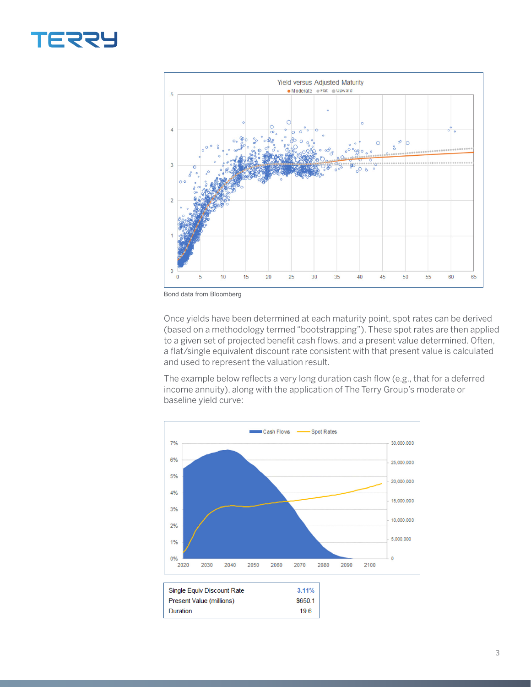## **TERRY**



Bond data from Bloomberg

Once yields have been determined at each maturity point, spot rates can be derived (based on a methodology termed "bootstrapping"). These spot rates are then applied to a given set of projected benefit cash flows, and a present value determined. Often, a flat/single equivalent discount rate consistent with that present value is calculated and used to represent the valuation result.

The example below reflects a very long duration cash flow (e.g., that for a deferred income annuity), along with the application of The Terry Group's moderate or baseline yield curve: